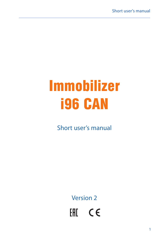# Immobilizer i96 CAN

Short user's manual

Version 2

EHI CE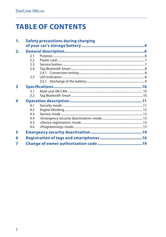### **TABLE OF CONTENTS**

| 1. |     | Safety precautions during charging |  |  |
|----|-----|------------------------------------|--|--|
| 2. |     |                                    |  |  |
|    | 2.1 |                                    |  |  |
|    | 2.2 |                                    |  |  |
|    | 23  |                                    |  |  |
|    | 2.4 |                                    |  |  |
|    |     |                                    |  |  |
|    | 2.5 |                                    |  |  |
|    |     |                                    |  |  |
| 3  |     |                                    |  |  |
|    | 31  |                                    |  |  |
|    | 3.2 |                                    |  |  |
| 4  |     |                                    |  |  |
|    | 4.1 |                                    |  |  |
|    | 4.2 |                                    |  |  |
|    | 43  |                                    |  |  |
|    | 44  |                                    |  |  |
|    | 4.5 |                                    |  |  |
|    | 4.6 |                                    |  |  |
| 5  |     |                                    |  |  |
| 6  |     |                                    |  |  |
| 7  |     |                                    |  |  |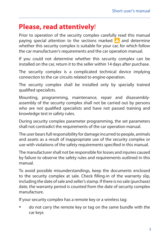### **Please, read attentively**!

Prior to operation of the security complex carefully read this manual paying special attention to the sections marked  $\Lambda$  and determine whether this security complex is suitable for your car, for which follow the car manufacturer's requirements and the car operation manual.

If you could not determine whether this security complex can be installed on the car, return it to the seller within 14 days after purchase.

The security complex is a complicated technical device implying connection to the car circuits related to engine operation.

The security complex shall be installed only by specially trained qualified specialists.

Mounting, programming, maintenance, repair and disassemblyassembly of the security complex shall not be carried out by persons who are not qualified specialists and have not passed training and knowledge test in safety rules.

During security complex parameter programming, the set parameters shall not contradict the requirements of the car operation manual.

The user bears full responsibility for damage incurred to people, animals and assets as a result of inappropriate use of the security complex or use with violations of the safety requirements specified in this manual.

The manufacturer shall not be responsible for losses and injuries caused by failure to observe the safety rules and requirements outlined in this manual.

To avoid possible misunderstandings, keep the documents enclosed to the security complex at sale. Check filling-in of the warranty slip, including the date of sale and seller's stamp. If there is no sale (purchase) date, the warranty period is counted from the date of security complex manufacture.

If your security complex has a remote key or a wireless tag:

do not carry the remote key or tag on the same bundle with the car keys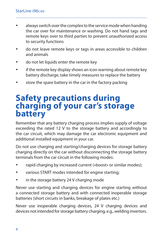- • always switch over the complex to the service mode when handing the car over for maintenance or washing. Do not hand tags and remote keys over to third parties to prevent unauthorized access to security functions
- do not leave remote keys or tags in areas accessible to children and animals
- • do not let liquids enter the remote key
- if the remote key display shows an icon warning about remote key battery discharge, take timely measures to replace the battery
- store the spare battery in the car in the factory packing

### **Safety precautions during charging of your car's storage battery**

Remember that any battery charging process implies supply of voltage exceeding the rated 12 V to the storage battery and accordingly to the car circuit, which may damage the car electronic equipment and additional installed equipment in your car.

Do not use charging and starting/charging devices for storage battery charging directly on the car without disconnecting the storage battery terminals from the car circuit in the following modes:

- rapid charging by increased current («boost» or similar modes);
- • various START modes intended for engine starting;
- • in the storage battery 24 V charging mode

Never use starting and charging devices for engine starting without a connected storage battery and with connected inoperable storage batteries (short circuits in banks, breakage of plates etc.)

Never use inoperable charging devices, 24 V charging devices and devices not intended for storage battery charging, e.g., welding invertors.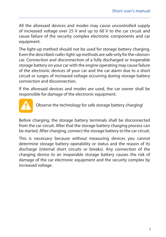All the aforesaid devices and modes may cause uncontrolled supply of increased voltage over 25 V and up to 60 V to the car circuit and cause failure of the security complex electronic components and car equipment.

The light-up method should not be used for storage battery charging. Even the described «safe» light-up methods are safe only for the «donor» car. Connection and disconnection of a fully discharged or inoperable storage battery on your car with the engine operating may cause failure of the electronic devices of your car and the car alarm due to a short circuit or surges of increased voltage occurring during storage battery connection and disconnection.

If the aforesaid devices and modes are used, the car owner shall be responsible for damage of the electronic equipment.



Observe the technology for safe storage battery charging!

Before charging, the storage battery terminals shall be disconnected from the car circuit. After that the storage battery charging process can be started. After charging, connect the storage battery to the car circuit.

This is necessary because without measuring devices you cannot determine storage battery operability or status and the reason of its discharge (internal short circuits or breaks). Any connection of the charging device to an inoperable storage battery causes the risk of damage of the car electronic equipment and the security complex by increased voltage.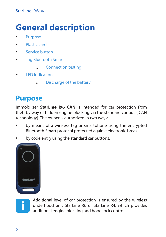# **General description**

- • Purpose
- • Plastic card
- Service button
- • Tag Bluetooth Smart
	- o Connection testing
- **LED** indication
	- o Discharge of the battery

### **Purpose**

Immobilizer **StarLine i96 CAN** is intended for car protection from theft by way of hidden engine blocking via the standard car bus (iCAN technology). The owner is authorized in two ways:

- by means of a wireless tag or smartphone using the encrypted Bluetooth Smart protocol protected against electronic break.
- by code entry using the standard car buttons.





Additional level of car protection is ensured by the wireless underhood unit StarLine R6 or StarLine R4, which provides additional engine blocking and hood lock control.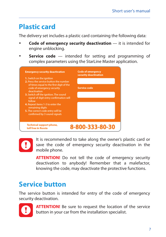### **Plastic card**

The delivery set includes a plastic card containing the following data:

- **Code of emergency security deactivation** it is intended for engine unblocking.
- • **Service code**  intended for setting and programming of complex parameters using the StarLine Master application.

| <b>Emergency security deactivation</b><br>1. Switch on the ignition<br>2. Press the service button the number<br>of times equal to the first digit of the<br>code of emergency security<br>deactivation<br>3. Switch off the ignition. The sound<br>signal of digit entry confirmation will<br>follow<br>4. Repeat items 1-3 to enter the<br>remaining digits<br>5. The correct code entry will be<br>confirmed by 3 sound signals | <b>Code of emergency</b><br>security deactivation<br>Service code |
|------------------------------------------------------------------------------------------------------------------------------------------------------------------------------------------------------------------------------------------------------------------------------------------------------------------------------------------------------------------------------------------------------------------------------------|-------------------------------------------------------------------|
| <b>Technical support phone,</b><br>toll free in Russia                                                                                                                                                                                                                                                                                                                                                                             | 8-800-333-80-30                                                   |



It is recommended to take along the owner's plastic card or save the code of emergency security deactivation in the mobile phone.

**ATTENTION!** Do not tell the code of emergency security deactivation to anybody! Remember that a malefactor, knowing the code, may deactivate the protective functions.

### **Service button**

The service button is intended for entry of the code of emergency security deactivation.



**ATTENTION!** Be sure to request the location of the service button in your car from the installation specialist.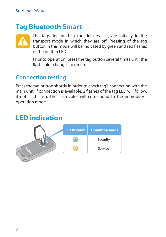### **Tag Bluetooth Smart**



The tags, included in the delivery set, are initially in the transport mode in which they are off! Pressing of the tag button in this mode will be indicated by green and red flashes of the built-in LED.

Prior to operation, press the tag button several times until the flash color changes to green.

#### **Connection testing**

Press the tag button shortly in order to check tag's connection with the main unit. If connection is available, 2 flashes of the tag LED will follow, if not  $-1$  flash. The flash color will correspond to the immobilizer operation mode.

### **LED indication**

|  | <b>Flash color</b> | <b>Operation mode</b> |
|--|--------------------|-----------------------|
|  |                    | Security              |
|  |                    | Service               |
|  |                    |                       |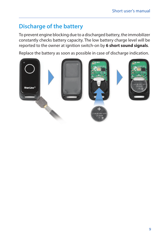### **Discharge of the battery**

To prevent engine blocking due to a discharged battery, the immobilizer constantly checks battery capacity. The low battery charge level will be reported to the owner at ignition switch-on by **6 short sound signals**.

Replace the battery as soon as possible in case of discharge indication.

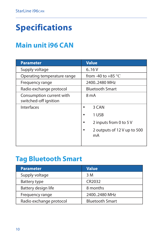# **Specifications**

### **Main unit i96 CAN**

| <b>Parameter</b>                                  | <b>Value</b>                      |  |
|---------------------------------------------------|-----------------------------------|--|
| Supply voltage                                    | 6.16V                             |  |
| Operating temperature range                       | from -40 to +85 $\degree$ C       |  |
| Frequency range                                   | 2400.2480 MHz                     |  |
| Radio exchange protocol                           | <b>Bluetooth Smart</b>            |  |
| Consumption current with<br>switched-off ignition | 8 mA                              |  |
| Interfaces                                        | 3 CAN<br>٠                        |  |
|                                                   | 1 USB                             |  |
|                                                   | 2 inputs from 0 to 5 V            |  |
|                                                   | 2 outputs of 12 V up to 500<br>mA |  |

### **Tag Bluetooth Smart**

| <b>Parameter</b>        | <b>Value</b>           |  |
|-------------------------|------------------------|--|
| Supply voltage          | 3 M                    |  |
| Battery type            | CR2032                 |  |
| Battery design life     | 8 months               |  |
| Frequency range         | 24002480 MHz           |  |
| Radio exchange protocol | <b>Bluetooth Smart</b> |  |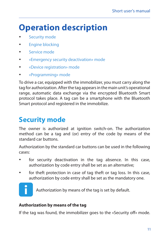# **Operation description**

- **Security mode**
- **Engine blocking**
- Service mode
- «Emergency security deactivation» mode
- • «Device registration» mode
- • «Programming» mode

To drive a car, equipped with the immobilizer, you must carry along the tag for authorization. After the tag appears in the main unit's operational range, automatic data exchange via the encrypted Bluetooth Smart protocol takes place. A tag can be a smartphone with the Bluetooth Smart protocol and registered in the immobilize.

### **Security mode**

The owner is authorized at ignition switch-on. The authorization method can be a tag and (or) entry of the code by means of the standard car buttons.

Authorization by the standard car buttons can be used in the following cases:

- for security deactivation in the tag absence. In this case, authorization by code entry shall be set as an alternative;
- for theft protection in case of tag theft or tag loss. In this case, authorization by code entry shall be set as the mandatory one.



Authorization by means of the tag is set by default.

#### **Authorization by means of the tag**

If the tag was found, the immobilizer goes to the «Security off» mode.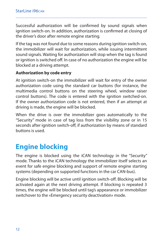Successful authorization will be confirmed by sound signals when ignition switch-on. In addition, authorization is confirmed at closing of the driver's door after remote engine starting.

If the tag was not found due to some reasons during ignition switch-on, the immobilizer will wait for authorization, while issuing intermittent sound signals. Waiting for authorization will stop when the tag is found or ignition is switched off. In case of no authorization the engine will be blocked at a driving attempt.

#### **Authorization by code entry**

At ignition switch-on the immobilizer will wait for entry of the owner authorization code using the standard car buttons (for instance, the multimedia control buttons on the steering wheel, window raiser control buttons). The code is entered with the ignition switched-on. If the owner authorization code is not entered, then if an attempt at driving is made, the engine will be blocked.

When the drive is over the immobilizer goes automatically to the "Security" mode in case of tag loss from the visibility zone or in 15 seconds after ignition switch-off, if authorization by means of standard buttons is used.

### **Engine blocking**

The engine is blocked using the iCAN technology in the "Security" mode. Thanks to the iCAN technology the immobilizer itself selects an event for safe engine blocking and support of remote engine starting systems (depending on supported functions in the car CAN-bus).

Engine blocking will be active until ignition switch-off. Blocking will be activated again at the next driving attempt. If blocking is repeated 3 times, the engine will be blocked until tag's appearance or immobilizer switchover to the «Emergency security deactivation» mode.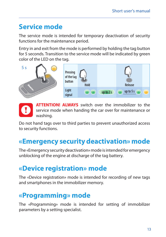### **Service mode**

The service mode is intended for temporary deactivation of security functions for the maintenance period.

Entry in and exit from the mode is performed by holding the tag button for 5 seconds. Transition to the service mode will be indicated by green color of the LED on the tag.





**ATTENTION! ALWAYS** switch over the immobilizer to the service mode when handing the car over for maintenance or washing.

Do not hand tags over to third parties to prevent unauthorized access to security functions.

### **«Emergency security deactivation» mode**

The «Emergency security deactivation» mode is intended for emergency unblocking of the engine at discharge of the tag battery.

### **«Device registration» mode**

The «Device registration» mode is intended for recording of new tags and smartphones in the immobilizer memory.

### **«Programming» mode**

The «Programming» mode is intended for setting of immobilizer parameters by a setting specialist.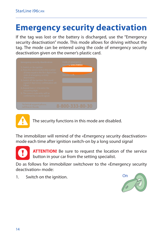## **Emergency security deactivation**

If the tag was lost or the battery is discharged, use the "Emergency security deactivation" mode. This mode allows for driving without the tag. The mode can be entered using the code of emergency security deactivation given on the owner's plastic card.





The security functions in this mode are disabled.

The immobilizer will remind of the «Emergency security deactivation» mode each time after ignition switch-on by a long sound signal



**ATTENTION!** Be sure to request the location of the service button in your car from the setting specialist.

Do as follows for immobilizer switchover to the «Emergency security deactivation» mode:

1. Switch on the ignition.

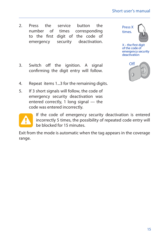- 2. Press the service button the number of times corresponding to the first digit of the code of<br>emergency security deactivation. emergency security deactivation.
- 3. Switch off the ignition. A signal confirming the digit entry will follow.





 $X$  – the first digit of the code of emergency security deactivation



- 4. Repeat items 1...3 for the remaining digits.
- 5. If 3 short signals will follow, the code of emergency security deactivation was entered correctly, 1 long signal — the code was entered incorrectly.



If the code of emergency security deactivation is entered incorrectly 5 times, the possibility of repeated code entry will be blocked for 15 minutes.

Exit from the mode is automatic when the tag appears in the coverage range.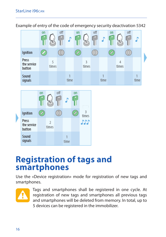Example of entry of the code of emergency security deactivation 5342



### **Registration of tags and smartphones**

Use the «Device registration» mode for registration of new tags and smartphones.



Tags and smartphones shall be registered in one cycle. At registration of new tags and smartphones all previous tags and smartphones will be deleted from memory. In total, up to 5 devices can be registered in the immobilizer.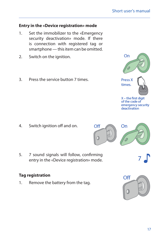On

#### **Entry in the «Device registration» mode**

- 1. Set the immobilizer to the «Emergency security deactivation» mode. If there is connection with registered tag or smartphone — this item can be omitted.
- 2. Switch on the ignition.
- 3. Press the service button 7 times.

4. Switch ignition off and on.

5. 7 sound signals will follow, confirming entry in the «Device registration» mode.

#### **Tag registration**

1. Remove the battery from the tag.







 $X -$  the first digit of the code of emergency security deactivation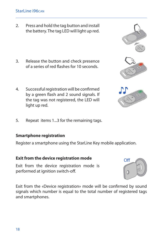#### Starl ine i96can

2. Press and hold the tag button and install the battery. The tag LED will light up red.

- 3. Release the button and check presence of a series of red flashes for 10 seconds.
- 4. Successful registration will be confirmed by a green flash and 2 sound signals. If the tag was not registered, the LED will light up red.
- 5. Repeat items 1...3 for the remaining tags.

#### **Smartphone registration**

Register a smartphone using the StarLine Key mobile application.

#### **Exit from the device registration mode**

Exit from the device registration mode is performed at ignition switch-off.

Exit from the «Device registration» mode will be confirmed by sound signals which number is equal to the total number of registered tags and smartphones.





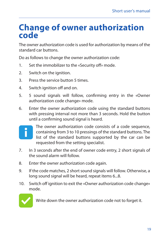### **Change of owner authorization code**

The owner authorization code is used for authorization by means of the standard car buttons.

Do as follows to change the owner authorization code:

- 1. Set the immobilizer to the «Security off» mode.
- 2. Switch on the ignition.
- 3. Press the service button 5 times.
- 4. Switch ignition off and on.
- 5. 5 sound signals will follow, confirming entry in the «Owner authorization code change» mode.
- 6. Enter the owner authorization code using the standard buttons with pressing interval not more than 3 seconds. Hold the button until a confirming sound signal is heard.



The owner authorization code consists of a code sequence, containing from 3 to 10 pressings of the standard buttons. The list of the standard buttons supported by the car can be requested from the setting specialist.

- 7. In 3 seconds after the end of owner code entry, 2 short signals of the sound alarm will follow.
- 8. Enter the owner authorization code again.
- 9. If the code matches, 2 short sound signals will follow. Otherwise, a long sound signal will be heard, repeat items 6...8.
- 10. Switch off ignition to exit the «Owner authorization code change» mode.



Write down the owner authorization code not to forget it.